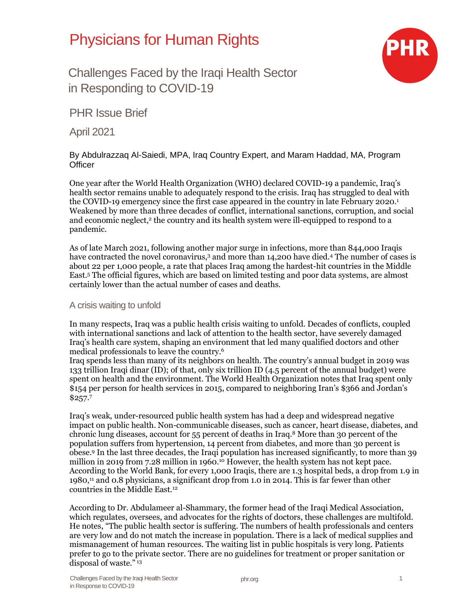# Physicians for Human Rights



Challenges Faced by the Iraqi Health Sector in Responding to COVID-19

PHR Issue Brief

April 2021

## By Abdulrazzaq Al-Saiedi, MPA, Iraq Country Expert, and Maram Haddad, MA, Program **Officer**

One year after the World Health Organization (WHO) declared COVID-19 a pandemic, Iraq's health sector remains unable to adequately respond to the crisis. Iraq has struggled to deal with the COVID-19 emergency since the first case appeared in the country in late February 2020.<sup>1</sup> Weakened by more than three decades of conflict, international sanctions, corruption, and social and economic neglect,<sup>2</sup> the country and its health system were ill-equipped to respond to a pandemic.

As of late March 2021, following another major surge in infections, more than 844,000 Iraqis have contracted the novel coronavirus,<sup>3</sup> and more than 14,200 have died.<sup>4</sup> The number of cases is about 22 per 1,000 people, a rate that places Iraq among the hardest-hit countries in the Middle East.<sup>5</sup> The official figures, which are based on limited testing and poor data systems, are almost certainly lower than the actual number of cases and deaths.

### A crisis waiting to unfold

In many respects, Iraq was a public health crisis waiting to unfold. Decades of conflicts, coupled with international sanctions and lack of attention to the health sector, have severely damaged Iraq's health care system, shaping an environment that led many qualified doctors and other medical professionals to leave the country.<sup>6</sup>

Iraq spends less than many of its neighbors on health. The country's annual budget in 2019 was 133 trillion Iraqi dinar (ID); of that, only six trillion ID (4.5 percent of the annual budget) were spent on health and the environment. The World Health Organization notes that Iraq spent only \$154 per person for health services in 2015, compared to neighboring Iran's \$366 and Jordan's \$257.<sup>7</sup>

Iraq's weak, under-resourced public health system has had a deep and widespread negative impact on public health. Non-communicable diseases, such as cancer, heart disease, diabetes, and chronic lung diseases, account for 55 percent of deaths in Iraq.<sup>8</sup> More than 30 percent of the population suffers from hypertension, 14 percent from diabetes, and more than 30 percent is obese.<sup>9</sup> In the last three decades, the Iraqi population has increased significantly, to more than 39 million in 2019 from 7.28 million in 1960.<sup>10</sup> However, the health system has not kept pace. According to the World Bank, for every 1,000 Iraqis, there are 1.3 hospital beds, a drop from 1.9 in 1980,<sup>11</sup> and 0.8 physicians, a significant drop from 1.0 in 2014. This is far fewer than other countries in the Middle East.<sup>12</sup>

According to Dr. Abdulameer al-Shammary, the former head of the Iraqi Medical Association, which regulates, oversees, and advocates for the rights of doctors, these challenges are multifold. He notes, "The public health sector is suffering. The numbers of health professionals and centers are very low and do not match the increase in population. There is a lack of medical supplies and mismanagement of human resources. The waiting list in public hospitals is very long. Patients prefer to go to the private sector. There are no guidelines for treatment or proper sanitation or disposal of waste."<sup>13</sup>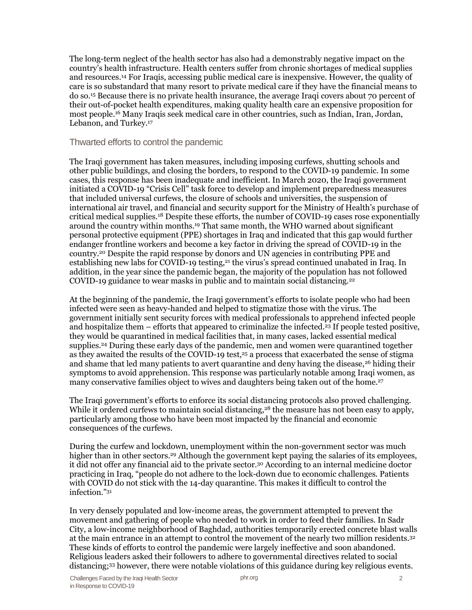The long-term neglect of the health sector has also had a demonstrably negative impact on the country's health infrastructure. Health centers suffer from chronic shortages of medical supplies and resources.<sup>14</sup> For Iraqis, accessing public medical care is inexpensive. However, the quality of care is so substandard that many resort to private medical care if they have the financial means to do so.<sup>15</sup> Because there is no private health insurance, the average Iraqi covers about 70 percent of their out-of-pocket health expenditures, making quality health care an expensive proposition for most people.<sup>16</sup> Many Iraqis seek medical care in other countries, such as Indian, Iran, Jordan, Lebanon, and Turkey.<sup>17</sup>

Thwarted efforts to control the pandemic

The Iraqi government has taken measures, including imposing curfews, shutting schools and other public buildings, and closing the borders, to respond to the COVID-19 pandemic. In some cases, this response has been inadequate and inefficient. In March 2020, the Iraqi government initiated a COVID-19 "Crisis Cell" task force to develop and implement preparedness measures that included universal curfews, the closure of schools and universities, the suspension of international air travel, and financial and security support for the Ministry of Health's purchase of critical medical supplies.<sup>18</sup> Despite these efforts, the number of COVID-19 cases rose exponentially around the country within months.<sup>19</sup> That same month, the WHO warned about significant personal protective equipment (PPE) shortages in Iraq and indicated that this gap would further endanger frontline workers and become a key factor in driving the spread of COVID-19 in the country.<sup>20</sup> Despite the rapid response by donors and UN agencies in contributing PPE and establishing new labs for COVID-19 testing,<sup>21</sup> the virus's spread continued unabated in Iraq. In addition, in the year since the pandemic began, the majority of the population has not followed COVID-19 guidance to wear masks in public and to maintain social distancing.<sup>22</sup>

At the beginning of the pandemic, the Iraqi government's efforts to isolate people who had been infected were seen as heavy-handed and helped to stigmatize those with the virus. The government initially sent security forces with medical professionals to apprehend infected people and hospitalize them – efforts that appeared to criminalize the infected.<sup>23</sup> If people tested positive, they would be quarantined in medical facilities that, in many cases, lacked essential medical supplies.<sup>24</sup> During these early days of the pandemic, men and women were quarantined together as they awaited the results of the COVID-19 test, $25$  a process that exacerbated the sense of stigma and shame that led many patients to avert quarantine and deny having the disease,<sup>26</sup> hiding their symptoms to avoid apprehension. This response was particularly notable among Iraqi women, as many conservative families object to wives and daughters being taken out of the home.<sup>27</sup>

The Iraqi government's efforts to enforce its social distancing protocols also proved challenging. While it ordered curfews to maintain social distancing,<sup>28</sup> the measure has not been easy to apply, particularly among those who have been most impacted by the financial and economic consequences of the curfews.

During the curfew and lockdown, unemployment within the non-government sector was much higher than in other sectors.<sup>29</sup> Although the government kept paying the salaries of its employees, it did not offer any financial aid to the private sector.<sup>30</sup> According to an internal medicine doctor practicing in Iraq, "people do not adhere to the lock-down due to economic challenges. Patients with COVID do not stick with the 14-day quarantine. This makes it difficult to control the infection."<sup>31</sup>

In very densely populated and low-income areas, the government attempted to prevent the movement and gathering of people who needed to work in order to feed their families. In Sadr City, a low-income neighborhood of Baghdad, authorities temporarily erected concrete blast walls at the main entrance in an attempt to control the movement of the nearly two million residents.<sup>32</sup> These kinds of efforts to control the pandemic were largely ineffective and soon abandoned. Religious leaders asked their followers to adhere to governmental directives related to social distancing;<sup>33</sup> however, there were notable violations of this guidance during key religious events.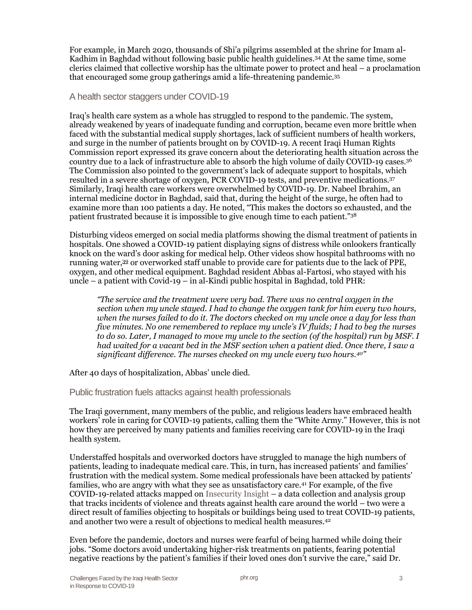For example, in March 2020, thousands of Shi'a pilgrims assembled at the shrine for Imam al-Kadhim in Baghdad without following basic public health guidelines.<sup>34</sup> At the same time, some clerics claimed that collective worship has the ultimate power to protect and heal – a proclamation that encouraged some group gatherings amid a life-threatening pandemic.<sup>35</sup>

#### A health sector staggers under COVID-19

Iraq's health care system as a whole has struggled to respond to the pandemic. The system, already weakened by years of inadequate funding and corruption, became even more brittle when faced with the substantial medical supply shortages, lack of sufficient numbers of health workers, and surge in the number of patients brought on by COVID-19. A recent Iraqi Human Rights Commission report expressed its grave concern about the deteriorating health situation across the country due to a lack of infrastructure able to absorb the high volume of daily COVID-19 cases.<sup>36</sup> The Commission also pointed to the government's lack of adequate support to hospitals, which resulted in a severe shortage of oxygen, PCR COVID-19 tests, and preventive medications.<sup>37</sup> Similarly, Iraqi health care workers were overwhelmed by COVID-19. Dr. Nabeel Ibrahim, an internal medicine doctor in Baghdad, said that, during the height of the surge, he often had to examine more than 100 patients a day. He noted, "This makes the doctors so exhausted, and the patient frustrated because it is impossible to give enough time to each patient."<sup>38</sup>

Disturbing videos emerged on social media platforms showing the dismal treatment of patients in hospitals. One showed a COVID-19 patient displaying signs of distress while onlookers frantically knock on the ward's door asking for medical help. Other videos show hospital bathrooms with no running water,<sup>39</sup> or overworked staff unable to provide care for patients due to the lack of PPE, oxygen, and other medical equipment. Baghdad resident Abbas al-Fartosi, who stayed with his uncle – a patient with Covid-19 – in al-Kindi public hospital in Baghdad, told PHR:

*"The service and the treatment were very bad. There was no central oxygen in the section when my uncle stayed. I had to change the oxygen tank for him every two hours, when the nurses failed to do it. The doctors checked on my uncle once a day for less than five minutes. No one remembered to replace my uncle's IV fluids; I had to beg the nurses to do so. Later, I managed to move my uncle to the section (of the hospital) run by MSF. I had waited for a vacant bed in the MSF section when a patient died. Once there, I saw a significant difference. The nurses checked on my uncle every two hours.<sup>40</sup>"* 

After 40 days of hospitalization, Abbas' uncle died.

Public frustration fuels attacks against health professionals

The Iraqi government, many members of the public, and religious leaders have embraced health workers' role in caring for COVID-19 patients, calling them the "White Army." However, this is not how they are perceived by many patients and families receiving care for COVID-19 in the Iraqi health system.

Understaffed hospitals and overworked doctors have struggled to manage the high numbers of patients, leading to inadequate medical care. This, in turn, has increased patients' and families' frustration with the medical system. Some medical professionals have been attacked by patients' families, who are angry with what they see as unsatisfactory care.<sup>41</sup> For example, of the five COVID-19-related attacks mapped o[n Insecurity Insight](http://mapbox.insecurityinsight.org/) – a data collection and analysis group that tracks incidents of violence and threats against health care around the world – two were a direct result of families objecting to hospitals or buildings being used to treat COVID-19 patients, and another two were a result of objections to medical health measures.<sup>42</sup>

Even before the pandemic, doctors and nurses were fearful of being harmed while doing their jobs. "Some doctors avoid undertaking higher-risk treatments on patients, fearing potential negative reactions by the patient's families if their loved ones don't survive the care," said Dr.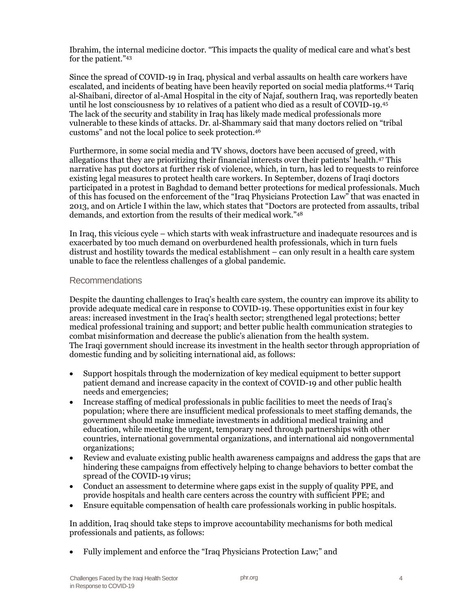Ibrahim, the internal medicine doctor. "This impacts the quality of medical care and what's best for the patient."<sup>43</sup>

Since the spread of COVID-19 in Iraq, physical and verbal assaults on health care workers have escalated, and incidents of beating have been heavily reported on social media platforms.<sup>44</sup> Tariq al-Shaibani, director of al-Amal Hospital in the city of Najaf, southern Iraq, was reportedly beaten until he lost consciousness by 10 relatives of a patient who died as a result of COVID-19.<sup>45</sup> The lack of the security and stability in Iraq has likely made medical professionals more vulnerable to these kinds of attacks. Dr. al-Shammary said that many doctors relied on "tribal customs" and not the local police to seek protection.<sup>46</sup>

Furthermore, in some social media and TV shows, doctors have been accused of greed, with allegations that they are prioritizing their financial interests over their patients' health.<sup>47</sup> This narrative has put doctors at further risk of violence, which, in turn, has led to requests to reinforce existing legal measures to protect health care workers. In September, dozens of Iraqi doctors participated in a protest in Baghdad to demand better protections for medical professionals. Much of this has focused on the enforcement of the "Iraq Physicians Protection Law" that was enacted in 2013, and on Article I within the law, which states that "Doctors are protected from assaults, tribal demands, and extortion from the results of their medical work."<sup>48</sup>

In Iraq, this vicious cycle – which starts with weak infrastructure and inadequate resources and is exacerbated by too much demand on overburdened health professionals, which in turn fuels distrust and hostility towards the medical establishment – can only result in a health care system unable to face the relentless challenges of a global pandemic.

### Recommendations

Despite the daunting challenges to Iraq's health care system, the country can improve its ability to provide adequate medical care in response to COVID-19. These opportunities exist in four key areas: increased investment in the Iraq's health sector; strengthened legal protections; better medical professional training and support; and better public health communication strategies to combat misinformation and decrease the public's alienation from the health system. The Iraqi government should increase its investment in the health sector through appropriation of domestic funding and by soliciting international aid, as follows:

- Support hospitals through the modernization of key medical equipment to better support patient demand and increase capacity in the context of COVID-19 and other public health needs and emergencies;
- Increase staffing of medical professionals in public facilities to meet the needs of Iraq's population; where there are insufficient medical professionals to meet staffing demands, the government should make immediate investments in additional medical training and education, while meeting the urgent, temporary need through partnerships with other countries, international governmental organizations, and international aid nongovernmental organizations;
- Review and evaluate existing public health awareness campaigns and address the gaps that are hindering these campaigns from effectively helping to change behaviors to better combat the spread of the COVID-19 virus;
- Conduct an assessment to determine where gaps exist in the supply of quality PPE, and provide hospitals and health care centers across the country with sufficient PPE; and
- Ensure equitable compensation of health care professionals working in public hospitals.

In addition, Iraq should take steps to improve accountability mechanisms for both medical professionals and patients, as follows:

• Fully implement and enforce the "Iraq Physicians Protection Law;" and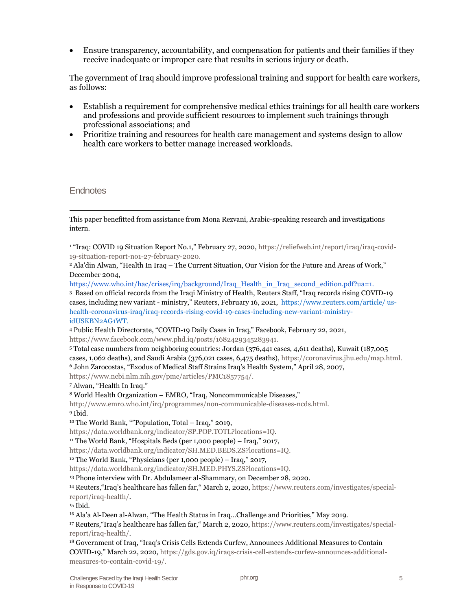• Ensure transparency, accountability, and compensation for patients and their families if they receive inadequate or improper care that results in serious injury or death.

The government of Iraq should improve professional training and support for health care workers, as follows:

- Establish a requirement for comprehensive medical ethics trainings for all health care workers and professions and provide sufficient resources to implement such trainings through professional associations; and
- Prioritize training and resources for health care management and systems design to allow health care workers to better manage increased workloads.

**Endnotes** 

[https://www.who.int/hac/crises/irq/background/Iraq\\_Health\\_in\\_Iraq\\_second\\_edition.pdf?ua=1.](https://www.who.int/hac/crises/irq/background/Iraq_Health_in_Iraq_second_edition.pdf?ua=1)

3 Based on official records from the Iraqi Ministry of Health, Reuters Staff, "Iraq records rising COVID-19 cases, including new variant - ministry," Reuters, February 16, 2021, [https://www.reuters.com/article/ us](https://www.reuters.com/article/us-health-coronavirus-iraq/iraq-records-rising-covid-19-cases-including-new-variant-ministry-idUSKBN2AG1WT)[health-coronavirus-iraq/iraq-records-rising-covid-19-cases-including-new-variant-ministry](https://www.reuters.com/article/us-health-coronavirus-iraq/iraq-records-rising-covid-19-cases-including-new-variant-ministry-idUSKBN2AG1WT)[idUSKBN2AG1WT.](https://www.reuters.com/article/us-health-coronavirus-iraq/iraq-records-rising-covid-19-cases-including-new-variant-ministry-idUSKBN2AG1WT)

<sup>4</sup> Public Health Directorate, "COVID-19 Daily Cases in Iraq," Facebook, February 22, 2021,

[https://www.facebook.com/www.phd.iq/posts/1682429345283941.](https://www.facebook.com/www.phd.iq/posts/1682429345283941)

<sup>5</sup> Total case numbers from neighboring countries: Jordan (376,441 cases, 4,611 deaths), Kuwait (187,005 cases, 1,062 deaths), and Saudi Arabia (376,021 cases, 6,475 deaths), [https://coronavirus.jhu.edu/map.html.](https://coronavirus.jhu.edu/map.html) <sup>6</sup> John Zarocostas, "Exodus of Medical Staff Strains Iraq's Health System," April 28, 2007, [https://www.ncbi.nlm.nih.gov/pmc/articles/PMC1857754/.](https://www.ncbi.nlm.nih.gov/pmc/articles/PMC1857754/)

<sup>7</sup> Alwan, "Health In Iraq."

<sup>8</sup> World Health Organization – EMRO, "Iraq, Noncommunicable Diseases,"

[http://www.emro.who.int/irq/programmes/non-communicable-diseases-ncds.html.](http://www.emro.who.int/irq/programmes/non-communicable-diseases-ncds.html) <sup>9</sup> Ibid.

<sup>10</sup> The World Bank, ""Population, Total – Iraq," 2019,

[https://data.worldbank.org/indicator/SP.POP.TOTL?locations=IQ.](https://data.worldbank.org/indicator/SP.POP.TOTL?locations=IQ)

<sup>11</sup> The World Bank, "Hospitals Beds (per 1,000 people) – Iraq," 2017,

[https://data.worldbank.org/indicator/SH.MED.BEDS.ZS?locations=IQ.](https://data.worldbank.org/indicator/SH.MED.BEDS.ZS?locations=IQ)

<sup>12</sup> The World Bank, "Physicians (per 1,000 people) – Iraq," 2017,

[https://data.worldbank.org/indicator/SH.MED.PHYS.ZS?locations=IQ.](https://data.worldbank.org/indicator/SH.MED.PHYS.ZS?locations=IQ)

<sup>13</sup> Phone interview with Dr. Abdulameer al-Shammary, on December 28, 2020.

<sup>14</sup> Reuters,"Iraq's healthcare has fallen far," March 2, 2020, [https://www.reuters.com/investigates/special](https://www.reuters.com/investigates/special-report/iraq-health/)[report/iraq-health/.](https://www.reuters.com/investigates/special-report/iraq-health/)

<sup>15</sup> Ibid.

<sup>16</sup> Ala'a Al-Deen al-Alwan, "The Health Status in Iraq…Challenge and Priorities," May 2019.

<sup>17</sup> Reuters,"Iraq's healthcare has fallen far," March 2, 2020, [https://www.reuters.com/investigates/special](https://www.reuters.com/investigates/special-report/iraq-health/)[report/iraq-health/.](https://www.reuters.com/investigates/special-report/iraq-health/)

<sup>18</sup> Government of Iraq, "Iraq's Crisis Cells Extends Curfew, Announces Additional Measures to Contain COVID-19," March 22, 2020, [https://gds.gov.iq/iraqs-crisis-cell-extends-curfew-announces-additional](https://gds.gov.iq/iraqs-crisis-cell-extends-curfew-announces-additional-measures-to-contain-covid-19/)[measures-to-contain-covid-19/.](https://gds.gov.iq/iraqs-crisis-cell-extends-curfew-announces-additional-measures-to-contain-covid-19/)

This paper benefitted from assistance from Mona Rezvani, Arabic-speaking research and investigations intern.

<sup>&</sup>lt;sup>1</sup> "Iraq: COVID 19 Situation Report No.1," February 27, 2020, [https://reliefweb.int/report/iraq/iraq-covid-](https://reliefweb.int/report/iraq/iraq-covid-19-situation-report-no1-27-february-2020)[19-situation-report-no1-27-february-2020.](https://reliefweb.int/report/iraq/iraq-covid-19-situation-report-no1-27-february-2020)

<sup>2</sup> Ala'din Alwan, "Health In Iraq – The Current Situation, Our Vision for the Future and Areas of Work," December 2004,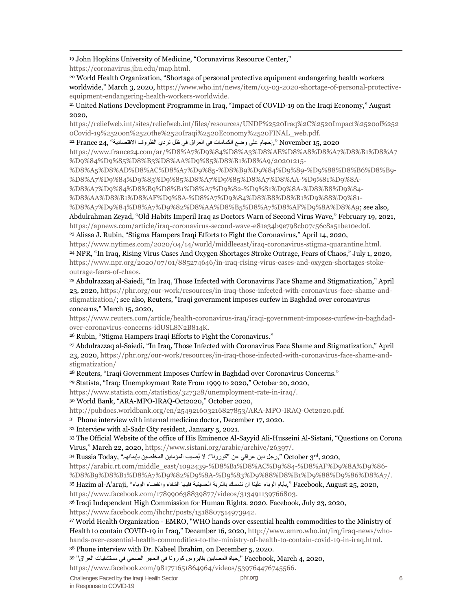#### <sup>19</sup> John Hopkins University of Medicine, "Coronavirus Resource Center,"

[https://coronavirus.jhu.edu/map.html.](https://coronavirus.jhu.edu/map.html)

<sup>20</sup> World Health Organization, "Shortage of personal protective equipment endangering health workers worldwide," March 3, 2020, [https://www.who.int/news/item/03-03-2020-shortage-of-personal-protective](https://www.who.int/news/item/03-03-2020-shortage-of-personal-protective-equipment-endangering-health-workers-worldwide)[equipment-endangering-health-workers-worldwide.](https://www.who.int/news/item/03-03-2020-shortage-of-personal-protective-equipment-endangering-health-workers-worldwide)

<sup>21</sup> United Nations Development Programme in Iraq, "Impact of COVID-19 on the Iraqi Economy," August 2020,

[https://reliefweb.int/sites/reliefweb.int/files/resources/UNDP%2520Iraq%2C%2520Impact%2520of%252](https://reliefweb.int/sites/reliefweb.int/files/resources/UNDP%2520Iraq%2C%2520Impact%2520of%2520Covid-19%2520on%2520the%2520Iraqi%2520Economy%2520FINAL_web.pdf) [0Covid-19%2520on%2520the%2520Iraqi%2520Economy%2520FINAL\\_web.pdf.](https://reliefweb.int/sites/reliefweb.int/files/resources/UNDP%2520Iraq%2C%2520Impact%2520of%2520Covid-19%2520on%2520the%2520Iraqi%2520Economy%2520FINAL_web.pdf)

2020 15, November" ,إحجام على وضع الكمامات في العراق في ظل تردي الظروف االقتصادية " 24, France <sup>22</sup> [https://www.france24.com/ar/%D8%A7%D9%84%D8%A3%D8%AE%D8%A8%D8%A7%D8%B1%D8%A7](https://www.france24.com/ar/%D8%A7%D9%84%D8%A3%D8%AE%D8%A8%D8%A7%D8%B1%D8%A7%D9%84%D9%85%D8%B3%D8%AA%D9%85%D8%B1%D8%A9/20201215-%D8%A5%D8%AD%D8%AC%D8%A7%D9%85-%D8%B9%D9%84%D9%89-%D9%88%D8%B6%D8%B9-%D8%A7%D9%84%D9%83%D9%85%D8%A7%D9%85%D8%A7%D8%AA-%D9%81%D9%8A-%D8%A7%D9%84%D8%B9%D8%B1%D8%A7%D9%82-%D9%81%D9%8A-%D8%B8%D9%84-%D8%AA%D8%B1%D8%AF%D9%8A-%D8%A7%D9%84%D8%B8%D8%B1%D9%88%D9%81-%D8%A7%D9%84%D8%A7%D9%82%D8%AA%D8%B5%D8%A7%D8%AF%D9%8A%D8%A9)

[%D9%84%D9%85%D8%B3%D8%AA%D9%85%D8%B1%D8%A9/20201215-](https://www.france24.com/ar/%D8%A7%D9%84%D8%A3%D8%AE%D8%A8%D8%A7%D8%B1%D8%A7%D9%84%D9%85%D8%B3%D8%AA%D9%85%D8%B1%D8%A9/20201215-%D8%A5%D8%AD%D8%AC%D8%A7%D9%85-%D8%B9%D9%84%D9%89-%D9%88%D8%B6%D8%B9-%D8%A7%D9%84%D9%83%D9%85%D8%A7%D9%85%D8%A7%D8%AA-%D9%81%D9%8A-%D8%A7%D9%84%D8%B9%D8%B1%D8%A7%D9%82-%D9%81%D9%8A-%D8%B8%D9%84-%D8%AA%D8%B1%D8%AF%D9%8A-%D8%A7%D9%84%D8%B8%D8%B1%D9%88%D9%81-%D8%A7%D9%84%D8%A7%D9%82%D8%AA%D8%B5%D8%A7%D8%AF%D9%8A%D8%A9)

[%D8%A5%D8%AD%D8%AC%D8%A7%D9%85-%D8%B9%D9%84%D9%89-%D9%88%D8%B6%D8%B9-](https://www.france24.com/ar/%D8%A7%D9%84%D8%A3%D8%AE%D8%A8%D8%A7%D8%B1%D8%A7%D9%84%D9%85%D8%B3%D8%AA%D9%85%D8%B1%D8%A9/20201215-%D8%A5%D8%AD%D8%AC%D8%A7%D9%85-%D8%B9%D9%84%D9%89-%D9%88%D8%B6%D8%B9-%D8%A7%D9%84%D9%83%D9%85%D8%A7%D9%85%D8%A7%D8%AA-%D9%81%D9%8A-%D8%A7%D9%84%D8%B9%D8%B1%D8%A7%D9%82-%D9%81%D9%8A-%D8%B8%D9%84-%D8%AA%D8%B1%D8%AF%D9%8A-%D8%A7%D9%84%D8%B8%D8%B1%D9%88%D9%81-%D8%A7%D9%84%D8%A7%D9%82%D8%AA%D8%B5%D8%A7%D8%AF%D9%8A%D8%A9) [%D8%A7%D9%84%D9%83%D9%85%D8%A7%D9%85%D8%A7%D8%AA-%D9%81%D9%8A-](https://www.france24.com/ar/%D8%A7%D9%84%D8%A3%D8%AE%D8%A8%D8%A7%D8%B1%D8%A7%D9%84%D9%85%D8%B3%D8%AA%D9%85%D8%B1%D8%A9/20201215-%D8%A5%D8%AD%D8%AC%D8%A7%D9%85-%D8%B9%D9%84%D9%89-%D9%88%D8%B6%D8%B9-%D8%A7%D9%84%D9%83%D9%85%D8%A7%D9%85%D8%A7%D8%AA-%D9%81%D9%8A-%D8%A7%D9%84%D8%B9%D8%B1%D8%A7%D9%82-%D9%81%D9%8A-%D8%B8%D9%84-%D8%AA%D8%B1%D8%AF%D9%8A-%D8%A7%D9%84%D8%B8%D8%B1%D9%88%D9%81-%D8%A7%D9%84%D8%A7%D9%82%D8%AA%D8%B5%D8%A7%D8%AF%D9%8A%D8%A9)

[%D8%A7%D9%84%D8%B9%D8%B1%D8%A7%D9%82-%D9%81%D9%8A-%D8%B8%D9%84-](https://www.france24.com/ar/%D8%A7%D9%84%D8%A3%D8%AE%D8%A8%D8%A7%D8%B1%D8%A7%D9%84%D9%85%D8%B3%D8%AA%D9%85%D8%B1%D8%A9/20201215-%D8%A5%D8%AD%D8%AC%D8%A7%D9%85-%D8%B9%D9%84%D9%89-%D9%88%D8%B6%D8%B9-%D8%A7%D9%84%D9%83%D9%85%D8%A7%D9%85%D8%A7%D8%AA-%D9%81%D9%8A-%D8%A7%D9%84%D8%B9%D8%B1%D8%A7%D9%82-%D9%81%D9%8A-%D8%B8%D9%84-%D8%AA%D8%B1%D8%AF%D9%8A-%D8%A7%D9%84%D8%B8%D8%B1%D9%88%D9%81-%D8%A7%D9%84%D8%A7%D9%82%D8%AA%D8%B5%D8%A7%D8%AF%D9%8A%D8%A9)

[%D8%AA%D8%B1%D8%AF%D9%8A-%D8%A7%D9%84%D8%B8%D8%B1%D9%88%D9%81-](https://www.france24.com/ar/%D8%A7%D9%84%D8%A3%D8%AE%D8%A8%D8%A7%D8%B1%D8%A7%D9%84%D9%85%D8%B3%D8%AA%D9%85%D8%B1%D8%A9/20201215-%D8%A5%D8%AD%D8%AC%D8%A7%D9%85-%D8%B9%D9%84%D9%89-%D9%88%D8%B6%D8%B9-%D8%A7%D9%84%D9%83%D9%85%D8%A7%D9%85%D8%A7%D8%AA-%D9%81%D9%8A-%D8%A7%D9%84%D8%B9%D8%B1%D8%A7%D9%82-%D9%81%D9%8A-%D8%B8%D9%84-%D8%AA%D8%B1%D8%AF%D9%8A-%D8%A7%D9%84%D8%B8%D8%B1%D9%88%D9%81-%D8%A7%D9%84%D8%A7%D9%82%D8%AA%D8%B5%D8%A7%D8%AF%D9%8A%D8%A9)

[%D8%A7%D9%84%D8%A7%D9%82%D8%AA%D8%B5%D8%A7%D8%AF%D9%8A%D8%A9;](https://www.france24.com/ar/%D8%A7%D9%84%D8%A3%D8%AE%D8%A8%D8%A7%D8%B1%D8%A7%D9%84%D9%85%D8%B3%D8%AA%D9%85%D8%B1%D8%A9/20201215-%D8%A5%D8%AD%D8%AC%D8%A7%D9%85-%D8%B9%D9%84%D9%89-%D9%88%D8%B6%D8%B9-%D8%A7%D9%84%D9%83%D9%85%D8%A7%D9%85%D8%A7%D8%AA-%D9%81%D9%8A-%D8%A7%D9%84%D8%B9%D8%B1%D8%A7%D9%82-%D9%81%D9%8A-%D8%B8%D9%84-%D8%AA%D8%B1%D8%AF%D9%8A-%D8%A7%D9%84%D8%B8%D8%B1%D9%88%D9%81-%D8%A7%D9%84%D8%A7%D9%82%D8%AA%D8%B5%D8%A7%D8%AF%D9%8A%D8%A9) see also,

Abdulrahman Zeyad, "Old Habits Imperil Iraq as Doctors Warn of Second Virus Wave," February 19, 2021, [https://apnews.com/article/iraq-coronavirus-second-wave-e81a34b9e798cb07c56c8a51be10ed0f.](https://apnews.com/article/iraq-coronavirus-second-wave-e81a34b9e798cb07c56c8a51be10ed0f)

<sup>23</sup> Alissa J. Rubin, "Stigma Hampers Iraqi Efforts to Fight the Coronavirus," April 14, 2020,

[https://www.nytimes.com/2020/04/14/world/middleeast/iraq-coronavirus-stigma-quarantine.html.](https://www.nytimes.com/2020/04/14/world/middleeast/iraq-coronavirus-stigma-quarantine.html) <sup>24</sup> NPR, "In Iraq, Rising Virus Cases And Oxygen Shortages Stroke Outrage, Fears of Chaos," July 1, 2020, [https://www.npr.org/2020/07/01/885274646/in-iraq-rising-virus-cases-and-oxygen-shortages-stoke](https://www.npr.org/2020/07/01/885274646/in-iraq-rising-virus-cases-and-oxygen-shortages-stoke-outrage-fears-of-chaos)[outrage-fears-of-chaos.](https://www.npr.org/2020/07/01/885274646/in-iraq-rising-virus-cases-and-oxygen-shortages-stoke-outrage-fears-of-chaos)

<sup>25</sup> Abdulrazzaq al-Saiedi, "In Iraq, Those Infected with Coronavirus Face Shame and Stigmatization," April 23, 2020[, https://phr.org/our-work/resources/in-iraq-those-infected-with-coronavirus-face-shame-and](https://phr.org/our-work/resources/in-iraq-those-infected-with-coronavirus-face-shame-and-stigmatization/)[stigmatization/;](https://phr.org/our-work/resources/in-iraq-those-infected-with-coronavirus-face-shame-and-stigmatization/) see also, Reuters, "Iraqi government imposes curfew in Baghdad over coronavirus concerns," March 15, 2020,

[https://www.reuters.com/article/health-coronavirus-iraq/iraqi-government-imposes-curfew-in-baghdad](https://www.reuters.com/article/health-coronavirus-iraq/iraqi-government-imposes-curfew-in-baghdad-over-coronavirus-concerns-idUSL8N2B814K)[over-coronavirus-concerns-idUSL8N2B814K.](https://www.reuters.com/article/health-coronavirus-iraq/iraqi-government-imposes-curfew-in-baghdad-over-coronavirus-concerns-idUSL8N2B814K)

<sup>26</sup> Rubin, "Stigma Hampers Iraqi Efforts to Fight the Coronavirus."

<sup>27</sup> Abdulrazzaq al-Saiedi, "In Iraq, Those Infected with Coronavirus Face Shame and Stigmatization," April 23, 2020[, https://phr.org/our-work/resources/in-iraq-those-infected-with-coronavirus-face-shame-and](https://phr.org/our-work/resources/in-iraq-those-infected-with-coronavirus-face-shame-and-stigmatization/)[stigmatization/](https://phr.org/our-work/resources/in-iraq-those-infected-with-coronavirus-face-shame-and-stigmatization/)

<sup>28</sup> Reuters, "Iraqi Government Imposes Curfew in Baghdad over Coronavirus Concerns."

<sup>29</sup> Statista, "Iraq: Unemployment Rate From 1999 to 2020," October 20, 2020,

[https://www.statista.com/statistics/327328/unemployment-rate-in-iraq/.](https://www.statista.com/statistics/327328/unemployment-rate-in-iraq/)

<sup>30</sup> World Bank, "ARA-MPO-IRAQ-Oct2020," October 2020,

[http://pubdocs.worldbank.org/en/254921603216827853/ARA-MPO-IRAQ-Oct2020.pdf.](http://pubdocs.worldbank.org/en/254921603216827853/ARA-MPO-IRAQ-Oct2020.pdf)

<sup>31</sup> Phone interview with internal medicine doctor, December 17, 2020.

<sup>32</sup> Interview with al-Sadr City resident, January 5, 2021.

<sup>33</sup> The Official Website of the office of His Eminence Al-Sayyid Ali-Husseini Al-Sistani, "Questions on Corona Virus," March 22, 2020, [https://www.sistani.org/arabic/archive/26397/.](https://www.sistani.org/arabic/archive/26397/)

2020, ,rd3 October" ,رجل دين عراقي عن "كورونا": ال يُصيب المؤمنين المخلصين بإيمانهم" ,Today Russia <sup>34</sup>

[https://arabic.rt.com/middle\\_east/1092439-%D8%B1%D8%AC%D9%84-%D8%AF%D9%8A%D9%86-](https://arabic.rt.com/middle_east/1092439-%D8%B1%D8%AC%D9%84-%D8%AF%D9%8A%D9%86-%D8%B9%D8%B1%D8%A7%D9%82%D9%8A-%D9%83%D9%88%D8%B1%D9%88%D9%86%D8%A7/) [%D8%B9%D8%B1%D8%A7%D9%82%D9%8A-%D9%83%D9%88%D8%B1%D9%88%D9%86%D8%A7/.](https://arabic.rt.com/middle_east/1092439-%D8%B1%D8%AC%D9%84-%D8%AF%D9%8A%D9%86-%D8%B9%D8%B1%D8%A7%D9%82%D9%8A-%D9%83%D9%88%D8%B1%D9%88%D9%86%D8%A7/) 35 Hazim al-A'araji, "بأيام الوباء علينا ان نتمسك بالتربة الحسينية ففيها الشفاء وانقضاء الوباء", "Facebook, August 25, 2020

[https://www.facebook.com/178990638839877/videos/313491139766803.](https://www.facebook.com/178990638839877/videos/313491139766803)

<sup>36</sup> Iraqi Independent High Commission for Human Rights. 2020. Facebook, July 23, 2020,

[https://www.facebook.com/ihchr/posts/1518807514973942.](https://www.facebook.com/ihchr/posts/1518807514973942)

<sup>37</sup> World Health Organization - EMRO, "WHO hands over essential health commodities to the Ministry of Health to contain COVID-19 in Iraq," December 16, 2020, [http://www.emro.who.int/irq/iraq-news/who](http://www.emro.who.int/irq/iraq-news/who-hands-over-essential-health-commodities-to-the-ministry-of-health-to-contain-covid-19-in-iraq.html)[hands-over-essential-health-commodities-to-the-ministry-of-health-to-contain-covid-19-in-iraq.html.](http://www.emro.who.int/irq/iraq-news/who-hands-over-essential-health-commodities-to-the-ministry-of-health-to-contain-covid-19-in-iraq.html) <sup>38</sup> Phone interview with Dr. Nabeel Ibrahim, on December 5, 2020.

2020, 4, March ,Facebook" ,حياة المصابين بفايروس كورونا في الحجر الصحي في مستشفيات العراق" <sup>39</sup>

[https://www.facebook.com/981771651864964/videos/539764476745566.](https://www.facebook.com/981771651864964/videos/539764476745566)